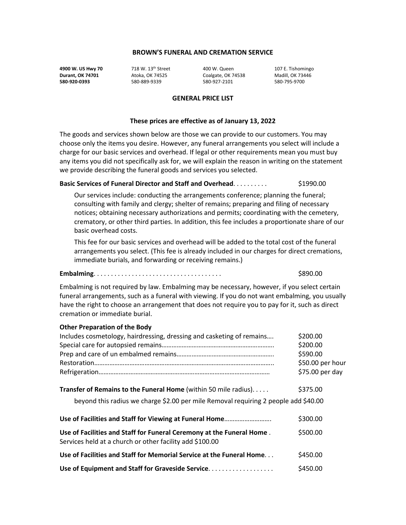**4900 W. US Hwy 70** 718 W. 13th Street 400 W. Queen 107 E. Tishomingo **Durant, OK 74701** Atoka, OK 74525 Coalgate, OK 74538 Madill, OK 73446 **580-920-0393** 580-889-9339 580-927-2101 580-795-9700

#### **GENERAL PRICE LIST**

#### **These prices are effective as of January 13, 2022**

The goods and services shown below are those we can provide to our customers. You may choose only the items you desire. However, any funeral arrangements you select will include a charge for our basic services and overhead. If legal or other requirements mean you must buy any items you did not specifically ask for, we will explain the reason in writing on the statement we provide describing the funeral goods and services you selected.

# **Basic Services of Funeral Director and Staff and Overhead.** . . . . . . . . . . . . . . \$1990.00

Our services include: conducting the arrangements conference; planning the funeral; consulting with family and clergy; shelter of remains; preparing and filing of necessary notices; obtaining necessary authorizations and permits; coordinating with the cemetery, crematory, or other third parties. In addition, this fee includes a proportionate share of our basic overhead costs.

This fee for our basic services and overhead will be added to the total cost of the funeral arrangements you select. (This fee is already included in our charges for direct cremations, immediate burials, and forwarding or receiving remains.)

#### **Embalming**. . . . . . . . . . . . . . . . . . . . . . . . . . . . . . . . . . . . . \$890.00

Embalming is not required by law. Embalming may be necessary, however, if you select certain funeral arrangements, such as a funeral with viewing. If you do not want embalming, you usually have the right to choose an arrangement that does not require you to pay for it, such as direct cremation or immediate burial.

| <b>Other Preparation of the Body</b>                                                                                              |                  |
|-----------------------------------------------------------------------------------------------------------------------------------|------------------|
| Includes cosmetology, hairdressing, dressing and casketing of remains                                                             | \$200.00         |
|                                                                                                                                   | \$200.00         |
|                                                                                                                                   | \$590.00         |
|                                                                                                                                   | \$50.00 per hour |
|                                                                                                                                   | \$75.00 per day  |
| Transfer of Remains to the Funeral Home (within 50 mile radius)                                                                   | \$375.00         |
| beyond this radius we charge \$2.00 per mile Removal requiring 2 people add \$40.00                                               |                  |
|                                                                                                                                   | \$300.00         |
| Use of Facilities and Staff for Funeral Ceremony at the Funeral Home.<br>Services held at a church or other facility add \$100.00 | \$500.00         |
| Use of Facilities and Staff for Memorial Service at the Funeral Home                                                              | \$450.00         |
| Use of Equipment and Staff for Graveside Service.                                                                                 | \$450.00         |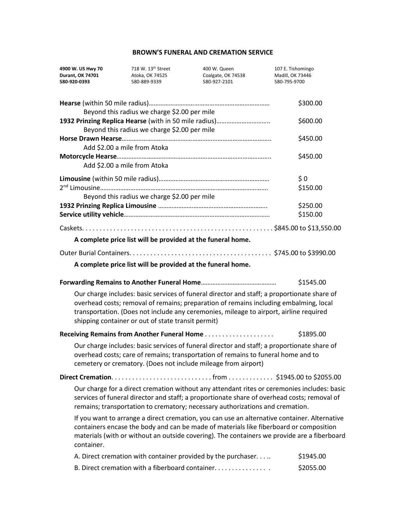| 4900 W. US Hwy 70<br><b>Durant, OK 74701</b><br>580-920-0393                                                                                                                                                                                                                                                                         | 718 W. 13 <sup>th</sup> Street<br>Atoka, OK 74525<br>580-889-9339 | 400 W. Queen<br>Coalgate, OK 74538<br>580-927-2101                                                                                                                                                                                                 | 107 E. Tishomingo<br>Madill, OK 73446<br>580-795-9700 |
|--------------------------------------------------------------------------------------------------------------------------------------------------------------------------------------------------------------------------------------------------------------------------------------------------------------------------------------|-------------------------------------------------------------------|----------------------------------------------------------------------------------------------------------------------------------------------------------------------------------------------------------------------------------------------------|-------------------------------------------------------|
|                                                                                                                                                                                                                                                                                                                                      | Beyond this radius we charge \$2.00 per mile                      |                                                                                                                                                                                                                                                    | \$300.00                                              |
|                                                                                                                                                                                                                                                                                                                                      | Beyond this radius we charge \$2.00 per mile                      | 1932 Prinzing Replica Hearse (with in 50 mile radius)                                                                                                                                                                                              | \$600.00                                              |
| Add \$2.00 a mile from Atoka                                                                                                                                                                                                                                                                                                         |                                                                   |                                                                                                                                                                                                                                                    | \$450.00                                              |
|                                                                                                                                                                                                                                                                                                                                      | Add \$2.00 a mile from Atoka                                      |                                                                                                                                                                                                                                                    | \$450.00                                              |
|                                                                                                                                                                                                                                                                                                                                      | Beyond this radius we charge \$2.00 per mile                      |                                                                                                                                                                                                                                                    | $\frac{1}{2}0$<br>\$150.00<br>\$250.00                |
|                                                                                                                                                                                                                                                                                                                                      |                                                                   |                                                                                                                                                                                                                                                    | \$150.00                                              |
|                                                                                                                                                                                                                                                                                                                                      |                                                                   | A complete price list will be provided at the funeral home.                                                                                                                                                                                        |                                                       |
|                                                                                                                                                                                                                                                                                                                                      |                                                                   |                                                                                                                                                                                                                                                    |                                                       |
|                                                                                                                                                                                                                                                                                                                                      |                                                                   | A complete price list will be provided at the funeral home.                                                                                                                                                                                        |                                                       |
|                                                                                                                                                                                                                                                                                                                                      |                                                                   |                                                                                                                                                                                                                                                    | \$1545.00                                             |
| Our charge includes: basic services of funeral director and staff; a proportionate share of<br>overhead costs; removal of remains; preparation of remains including embalming, local<br>transportation. (Does not include any ceremonies, mileage to airport, airline required<br>shipping container or out of state transit permit) |                                                                   |                                                                                                                                                                                                                                                    |                                                       |
|                                                                                                                                                                                                                                                                                                                                      |                                                                   |                                                                                                                                                                                                                                                    | \$1895.00                                             |
|                                                                                                                                                                                                                                                                                                                                      |                                                                   | Our charge includes: basic services of funeral director and staff; a proportionate share of<br>overhead costs; care of remains; transportation of remains to funeral home and to<br>cemetery or crematory. (Does not include mileage from airport) |                                                       |
|                                                                                                                                                                                                                                                                                                                                      |                                                                   |                                                                                                                                                                                                                                                    |                                                       |
| Our charge for a direct cremation without any attendant rites or ceremonies includes: basic<br>services of funeral director and staff; a proportionate share of overhead costs; removal of<br>remains; transportation to crematory; necessary authorizations and cremation.                                                          |                                                                   |                                                                                                                                                                                                                                                    |                                                       |
| If you want to arrange a direct cremation, you can use an alternative container. Alternative<br>containers encase the body and can be made of materials like fiberboard or composition<br>materials (with or without an outside covering). The containers we provide are a fiberboard<br>container.                                  |                                                                   |                                                                                                                                                                                                                                                    |                                                       |
|                                                                                                                                                                                                                                                                                                                                      |                                                                   | A. Direct cremation with container provided by the purchaser                                                                                                                                                                                       | \$1945.00                                             |
|                                                                                                                                                                                                                                                                                                                                      |                                                                   | B. Direct cremation with a fiberboard container                                                                                                                                                                                                    | \$2055.00                                             |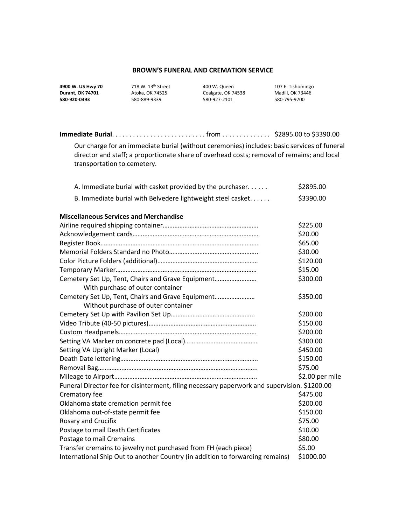**4900 W. US Hwy 70** 718 W. 13<sup>th</sup> Street 400 W. Queen 107 E. Tishomingo 107 E. Tishomingo **Durant, OK 74701** Atoka, OK 74525 Coalgate, OK 74538 Madill, OK 73446

**580-920-0393** 580-889-9339 580-927-2101 580-795-9700

| Our charge for an immediate burial (without ceremonies) includes: basic services of funeral<br>director and staff; a proportionate share of overhead costs; removal of remains; and local |                 |  |
|-------------------------------------------------------------------------------------------------------------------------------------------------------------------------------------------|-----------------|--|
| transportation to cemetery.                                                                                                                                                               |                 |  |
|                                                                                                                                                                                           |                 |  |
| A. Immediate burial with casket provided by the purchaser.                                                                                                                                | \$2895.00       |  |
| B. Immediate burial with Belvedere lightweight steel casket                                                                                                                               | \$3390.00       |  |
| <b>Miscellaneous Services and Merchandise</b>                                                                                                                                             |                 |  |
|                                                                                                                                                                                           | \$225.00        |  |
|                                                                                                                                                                                           | \$20.00         |  |
|                                                                                                                                                                                           | \$65.00         |  |
|                                                                                                                                                                                           | \$30.00         |  |
|                                                                                                                                                                                           | \$120.00        |  |
|                                                                                                                                                                                           | \$15.00         |  |
| Cemetery Set Up, Tent, Chairs and Grave Equipment                                                                                                                                         | \$300.00        |  |
| With purchase of outer container                                                                                                                                                          |                 |  |
| Cemetery Set Up, Tent, Chairs and Grave Equipment                                                                                                                                         | \$350.00        |  |
| Without purchase of outer container                                                                                                                                                       |                 |  |
|                                                                                                                                                                                           | \$200.00        |  |
|                                                                                                                                                                                           | \$150.00        |  |
|                                                                                                                                                                                           | \$200.00        |  |
|                                                                                                                                                                                           | \$300.00        |  |
| Setting VA Upright Marker (Local)                                                                                                                                                         | \$450.00        |  |
|                                                                                                                                                                                           | \$150.00        |  |
|                                                                                                                                                                                           | \$75.00         |  |
|                                                                                                                                                                                           | \$2.00 per mile |  |
| Funeral Director fee for disinterment, filing necessary paperwork and supervision. \$1200.00                                                                                              |                 |  |
| Crematory fee                                                                                                                                                                             | \$475.00        |  |
| Oklahoma state cremation permit fee                                                                                                                                                       | \$200.00        |  |
| Oklahoma out-of-state permit fee                                                                                                                                                          | \$150.00        |  |
| Rosary and Crucifix                                                                                                                                                                       | \$75.00         |  |
| Postage to mail Death Certificates                                                                                                                                                        | \$10.00         |  |
| Postage to mail Cremains                                                                                                                                                                  | \$80.00         |  |
| Transfer cremains to jewelry not purchased from FH (each piece)                                                                                                                           | \$5.00          |  |
| International Ship Out to another Country (in addition to forwarding remains)                                                                                                             | \$1000.00       |  |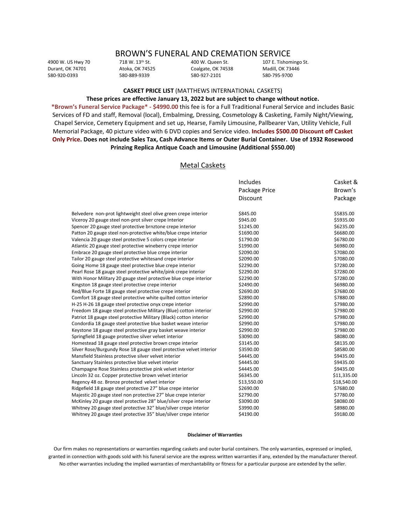# BROWN'S FUNERAL AND CREMATION SERVICE<br>718 W. 13th St. 400 W. Queen St. 107 E. Tishon

580-920-0393 580-889-9339 580-927-2101 580-795-9700

Coalgate, OK 74538

4900 W. US Hwy 70 718 W. 13<sup>th</sup> St. 400 W. Queen St. 400 W. Atoka OK 74538 107 E. Tishomingo St. 108 2146

### **CASKET PRICE LIST** (MATTHEWS INTERNATIONAL CASKETS)

#### **These prices are effective January 13, 2022 but are subject to change without notice.**

**\*Brown's Funeral Service Package\* - \$4990.00** this fee is for a Full Traditional Funeral Service and includes Basic Services of FD and staff, Removal (local), Embalming, Dressing, Cosmetology & Casketing, Family Night/Viewing, Chapel Service, Cemetery Equipment and set up, Hearse, Family Limousine, Pallbearer Van, Utility Vehicle, Full Memorial Package, 40 picture video with 6 DVD copies and Service video. **Includes \$500.00 Discount off Casket Only Price. Does not include Sales Tax, Cash Advance Items or Outer Burial Container. Use of 1932 Rosewood Prinzing Replica Antique Coach and Limousine (Additional \$550.00)**

#### Metal Caskets

|                                                                     | Includes<br>Package Price<br><b>Discount</b> | Casket &           |
|---------------------------------------------------------------------|----------------------------------------------|--------------------|
|                                                                     |                                              | Brown's<br>Package |
|                                                                     |                                              |                    |
| Belvedere non-prot lightweight steel olive green crepe interior     | \$845.00                                     | \$5835.00          |
| Viceroy 20 gauge steel non-prot silver crepe Interior               | \$945.00                                     | \$5935.00          |
| Spencer 20 gauge steel protective brnztone crepe interior           | \$1245.00                                    | \$6235.00          |
| Patton 20 gauge steel non-protective white/blue crepe interior      | \$1690.00                                    | \$6680.00          |
| Valencia 20 gauge steel protective 5 colors crepe interior          | \$1790.00                                    | \$6780.00          |
| Atlantic 20 gauge steel protective wineberry crepe interior         | \$1990.00                                    | \$6980.00          |
| Embrace 20 gauge steel protective blue crepe interior               | \$2090.00                                    | \$7080.00          |
| Tailor 20 gauge steel protective whitesand crepe interior           | \$2090.00                                    | \$7080.00          |
| Going Home 18 gauge steel protective blue crepe interior            | \$2290.00                                    | \$7280.00          |
| Pearl Rose 18 gauge steel protective white/pink crepe interior      | \$2290.00                                    | \$7280.00          |
| With Honor Military 20 gauge steel protective blue crepe interior   | \$2290.00                                    | \$7280.00          |
| Kingston 18 gauge steel protective crepe interior                   | \$2490.00                                    | \$6980.00          |
| Red/Blue Forte 18 gauge steel protective crepe interior             | \$2690.00                                    | \$7680.00          |
| Comfort 18 gauge steel protective white quilted cotton interior     | \$2890.00                                    | \$7880.00          |
| H-25 H-26 18 gauge steel protective onyx crepe interior             | \$2990.00                                    | \$7980.00          |
| Freedom 18 gauge steel protective Military (Blue) cotton interior   | \$2990.00                                    | \$7980.00          |
| Patriot 18 gauge steel protective Military (Black) cotton interior  | \$2990.00                                    | \$7980.00          |
| Condordia 18 gauge steel protective blue basket weave interior      | \$2990.00                                    | \$7980.00          |
| Keystone 18 gauge steel protective gray basket weave interior       | \$2990.00                                    | \$7980.00          |
| Springfield 18 gauge protective silver velvet interior              | \$3090.00                                    | \$8080.00          |
| Homestead 18 gauge steel protective brown crepe interior            | \$3145.00                                    | \$8135.00          |
| Silver Rose/Burgundy Rose 18 gauge steel protective velvet interior | \$3590.00                                    | \$8580.00          |
| Mansfield Stainless protective silver velvet interior               | \$4445.00                                    | \$9435.00          |
| Sanctuary Stainless protective blue velvet interior                 | \$4445.00                                    | \$9435.00          |
| Champagne Rose Stainless protective pink velvet interior            | \$4445.00                                    | \$9435.00          |
| Lincoln 32 oz. Copper protective brown velvet interior              | \$6345.00                                    | \$11,335.00        |
| Regency 48 oz. Bronze protected velvet interior                     | \$13,550.00                                  | \$18,540.00        |
| Ridgefield 18 gauge steel protective 27" blue crepe interior        | \$2690.00                                    | \$7680.00          |
| Majestic 20 gauge steel non protective 27" blue crepe interior      | \$2790.00                                    | \$7780.00          |
| McKinley 20 gauge steel protective 28" blue/silver crepe interior   | \$3090.00                                    | \$8080.00          |
| Whitney 20 gauge steel protective 32" blue/silver crepe interior    | \$3990.00                                    | \$8980.00          |
| Whitney 20 gauge steel protective 35" blue/silver crepe interior    | \$4190.00                                    | \$9180.00          |
|                                                                     |                                              |                    |

#### **Disclaimer of Warranties**

Our firm makes no representations or warranties regarding caskets and outer burial containers. The only warranties, expressed or implied, granted in connection with goods sold with his funeral service are the express written warranties if any, extended by the manufacturer thereof. No other warranties including the implied warranties of merchantability or fitness for a particular purpose are extended by the seller.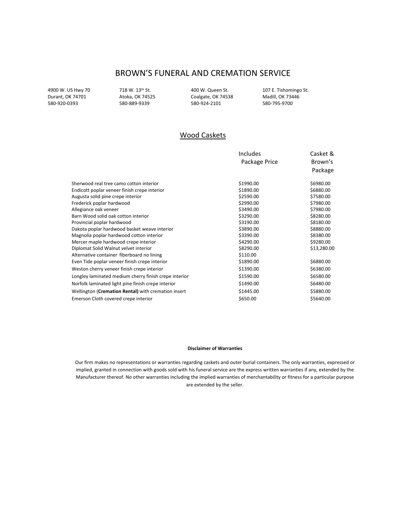580-889-9339

4900 W. US Hwy 70 718 W. 13<sup>th</sup> St. 400 W. Queen St. 107 E. Tishomingo St. 2000 W. Durant, OK 74701 400 Atoka, OK 74525 600 Coalgate, OK 74538 Madill, OK 73446 Durant, OK 74701 Atoka, OK 74525 Coalgate, OK 74538 Madill, OK 73446

# Wood Caskets

|                                                       | <b>Includes</b> | Casket &    |
|-------------------------------------------------------|-----------------|-------------|
|                                                       | Package Price   | Brown's     |
|                                                       |                 | Package     |
| Sherwood real tree camo cotton interior               | \$1990.00       | \$6980.00   |
| Endicott poplar veneer finish crepe interior          | \$1890.00       | \$6880.00   |
| Augusta solid pine crepe interior                     | \$2590.00       | \$7580.00   |
| Frederick poplar hardwood                             | \$2990.00       | \$7980.00   |
| Allegiance oak veneer                                 | \$3490.00       | \$7980.00   |
| Barn Wood solid oak cotton interior                   | \$3290.00       | \$8280.00   |
| Provincial poplar hardwood                            | \$3190.00       | \$8180.00   |
| Dakota poplar hardwood basket weave interior          | \$3890.00       | \$8880.00   |
| Magnolia poplar hardwood cotton interior              | \$3390.00       | \$8380.00   |
| Mercer maple hardwood crepe interior                  | \$4290.00       | \$9280.00   |
| Diplomat Solid Walnut velvet interior                 | \$8290.00       | \$13,280.00 |
| Alternative container fiberboard no lining            | \$110.00        |             |
| Even Tide poplar veneer finish crepe interior         | \$1890.00       | \$6880.00   |
| Weston cherry veneer finish crepe interior            | \$1390.00       | \$6380.00   |
| Longley laminated medium cherry finish crepe interior | \$1590.00       | \$6580.00   |
| Norfolk laminated light pine finish crepe interior    | \$1490.00       | \$6480.00   |
| Wellington (Cremation Rental) with cremation insert   | \$1445.00       | \$5880.00   |
| Emerson Cloth covered crepe interior                  | \$650.00        | \$5640.00   |

#### **Disclaimer of Warranties**

Our firm makes no representations or warranties regarding caskets and outer burial containers. The only warranties, expressed or implied, granted in connection with goods sold with his funeral service are the express written warranties if any, extended by the Manufacturer thereof. No other warranties including the implied warranties of merchantability or fitness for a particular purpose are extended by the seller.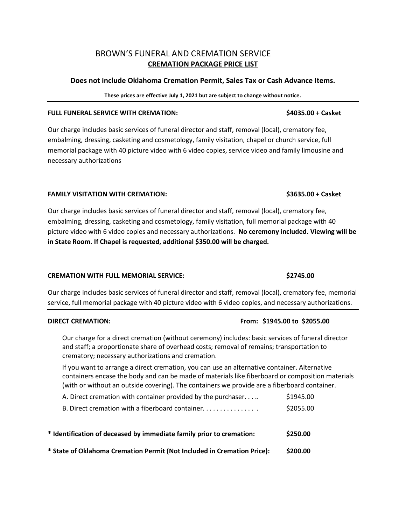# BROWN'S FUNERAL AND CREMATION SERVICE **CREMATION PACKAGE PRICE LIST**

## **Does not include Oklahoma Cremation Permit, Sales Tax or Cash Advance Items.**

### **These prices are effective July 1, 2021 but are subject to change without notice.**

## **FULL FUNERAL SERVICE WITH CREMATION: \$4035.00 + Casket**

Our charge includes basic services of funeral director and staff, removal (local), crematory fee, embalming, dressing, casketing and cosmetology, family visitation, chapel or church service, full memorial package with 40 picture video with 6 video copies, service video and family limousine and necessary authorizations

### **FAMILY VISITATION WITH CREMATION: \$3635.00 + Casket**

Our charge includes basic services of funeral director and staff, removal (local), crematory fee, embalming, dressing, casketing and cosmetology, family visitation, full memorial package with 40 picture video with 6 video copies and necessary authorizations. **No ceremony included. Viewing will be in State Room. If Chapel is requested, additional \$350.00 will be charged.** 

### **CREMATION WITH FULL MEMORIAL SERVICE: \$2745.00**

Our charge includes basic services of funeral director and staff, removal (local), crematory fee, memorial service, full memorial package with 40 picture video with 6 video copies, and necessary authorizations.

### **DIRECT CREMATION: From: \$1945.00 to \$2055.00**

Our charge for a direct cremation (without ceremony) includes: basic services of funeral director and staff; a proportionate share of overhead costs; removal of remains; transportation to crematory; necessary authorizations and cremation.

If you want to arrange a direct cremation, you can use an alternative container. Alternative containers encase the body and can be made of materials like fiberboard or composition materials (with or without an outside covering). The containers we provide are a fiberboard container.

| * State of Oklahoma Cremation Permit (Not Included in Cremation Price): | \$200.00  |
|-------------------------------------------------------------------------|-----------|
| * Identification of deceased by immediate family prior to cremation:    | \$250.00  |
| B. Direct cremation with a fiberboard container                         | \$2055.00 |
| A. Direct cremation with container provided by the purchaser            | \$1945.00 |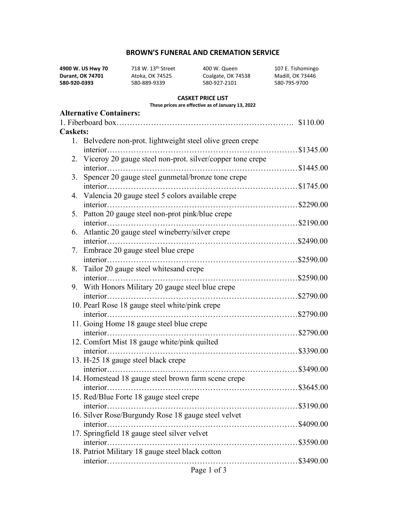**4900 W. US Hwy 70** 718 W. 13<sup>th</sup> Street 400 W. Queen 107 E. Tishomingo<br> **Durant, OK 74701** Atoka, OK 74525 Coalgate, OK 74538 Madill, OK 73446 **Durant, OK 74701** Atoka, OK 74525 Coalgate, OK 74538 Madill, OK 734<br> **Burant, OK 74701** Atoka, OK 74525 Coalgate, OK 74538 Madill, OK 734

**580-920-0393** 580-889-9339 580-927-2101 580-795-9700

### **CASKET PRICE LIST**

#### **These prices are effective as of January 13, 2022**

|                 |    | <b>Alternative Containers:</b>                               |          |
|-----------------|----|--------------------------------------------------------------|----------|
|                 |    |                                                              | \$110.00 |
| <b>Caskets:</b> |    |                                                              |          |
|                 |    | 1. Belvedere non-prot. lightweight steel olive green crepe   |          |
|                 |    |                                                              |          |
|                 |    | 2. Viceroy 20 gauge steel non-prot. silver/copper tone crepe |          |
|                 |    |                                                              |          |
|                 | 3. | Spencer 20 gauge steel gunmetal/bronze tone crepe            |          |
|                 |    |                                                              |          |
|                 |    | 4. Valencia 20 gauge steel 5 colors available crepe          |          |
|                 |    |                                                              |          |
|                 | 5. | Patton 20 gauge steel non-prot pink/blue crepe               |          |
|                 |    |                                                              |          |
|                 | 6. | Atlantic 20 gauge steel wineberry/silver crepe               |          |
|                 |    |                                                              |          |
|                 |    | 7. Embrace 20 gauge steel blue crepe                         |          |
|                 |    |                                                              |          |
|                 | 8. | Tailor 20 gauge steel whitesand crepe                        |          |
|                 |    |                                                              |          |
|                 | 9. | With Honors Military 20 gauge steel blue crepe               |          |
|                 |    |                                                              |          |
|                 |    | 10. Pearl Rose 18 gauge steel white/pink crepe               |          |
|                 |    |                                                              |          |
|                 |    | 11. Going Home 18 gauge steel blue crepe                     |          |
|                 |    |                                                              |          |
|                 |    | 12. Comfort Mist 18 gauge white/pink quilted                 |          |
|                 |    |                                                              |          |
|                 |    | 13. H-25 18 gauge steel black crepe                          |          |
|                 |    |                                                              |          |
|                 |    | 14. Homestead 18 gauge steel brown farm scene crepe          |          |
|                 |    |                                                              |          |
|                 |    | 15. Red/Blue Forte 18 gauge steel crepe                      |          |
|                 |    |                                                              |          |
|                 |    | 16. Silver Rose/Burgundy Rose 18 gauge steel velvet          |          |
|                 |    |                                                              |          |
|                 |    | 17. Springfield 18 gauge steel silver velvet                 |          |
|                 |    |                                                              |          |
|                 |    | 18. Patriot Military 18 gauge steel black cotton             |          |
|                 |    |                                                              |          |
|                 |    | Page 1 of 3                                                  |          |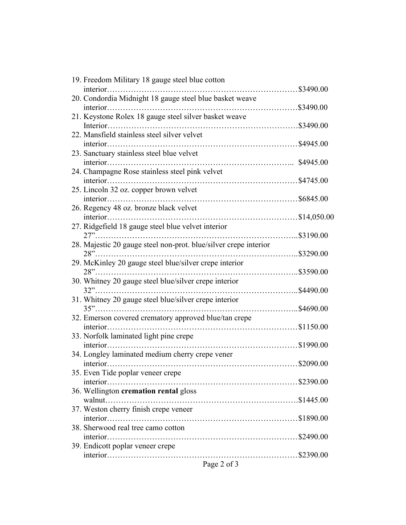| 19. Freedom Military 18 gauge steel blue cotton                  |  |
|------------------------------------------------------------------|--|
|                                                                  |  |
| 20. Condordia Midnight 18 gauge steel blue basket weave          |  |
|                                                                  |  |
| 21. Keystone Rolex 18 gauge steel silver basket weave            |  |
|                                                                  |  |
| 22. Mansfield stainless steel silver velvet                      |  |
|                                                                  |  |
| 23. Sanctuary stainless steel blue velvet                        |  |
|                                                                  |  |
| 24. Champagne Rose stainless steel pink velvet                   |  |
|                                                                  |  |
|                                                                  |  |
| 25. Lincoln 32 oz. copper brown velvet                           |  |
|                                                                  |  |
| 26. Regency 48 oz. bronze black velvet                           |  |
|                                                                  |  |
| 27. Ridgefield 18 gauge steel blue velvet interior               |  |
|                                                                  |  |
| 28. Majestic 20 gauge steel non-prot. blue/silver crepe interior |  |
|                                                                  |  |
| 29. McKinley 20 gauge steel blue/silver crepe interior           |  |
|                                                                  |  |
| 30. Whitney 20 gauge steel blue/silver crepe interior            |  |
|                                                                  |  |
|                                                                  |  |
| 31. Whitney 20 gauge steel blue/silver crepe interior            |  |
|                                                                  |  |
| 32. Emerson covered crematory approved blue/tan crepe            |  |
|                                                                  |  |
| 33. Norfolk laminated light pine crepe                           |  |
|                                                                  |  |
| 34. Longley laminated medium cherry crepe vener                  |  |
|                                                                  |  |
| 35. Even Tide poplar veneer crepe                                |  |
|                                                                  |  |
| 36. Wellington cremation rental gloss                            |  |
|                                                                  |  |
|                                                                  |  |
| 37. Weston cherry finish crepe veneer                            |  |
|                                                                  |  |
| 38. Sherwood real tree camo cotton                               |  |
|                                                                  |  |
| 39. Endicott poplar veneer crepe                                 |  |
|                                                                  |  |
|                                                                  |  |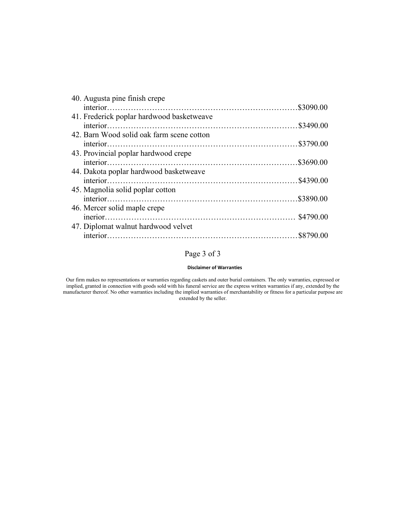| 40. Augusta pine finish crepe             |  |
|-------------------------------------------|--|
|                                           |  |
| 41. Frederick poplar hardwood basketweave |  |
|                                           |  |
| 42. Barn Wood solid oak farm scene cotton |  |
|                                           |  |
| 43. Provincial poplar hardwood crepe      |  |
|                                           |  |
| 44. Dakota poplar hardwood basketweave    |  |
|                                           |  |
| 45. Magnolia solid poplar cotton          |  |
|                                           |  |
| 46. Mercer solid maple crepe              |  |
|                                           |  |
| 47. Diplomat walnut hardwood velvet       |  |
|                                           |  |
|                                           |  |

# Page 3 of 3

#### **Disclaimer of Warranties**

Our firm makes no representations or warranties regarding caskets and outer burial containers. The only warranties, expressed or implied, granted in connection with goods sold with his funeral service are the express written warranties if any, extended by the manufacturer thereof. No other warranties including the implied warranties of merchantability or fitness for a particular purpose are extended by the seller.